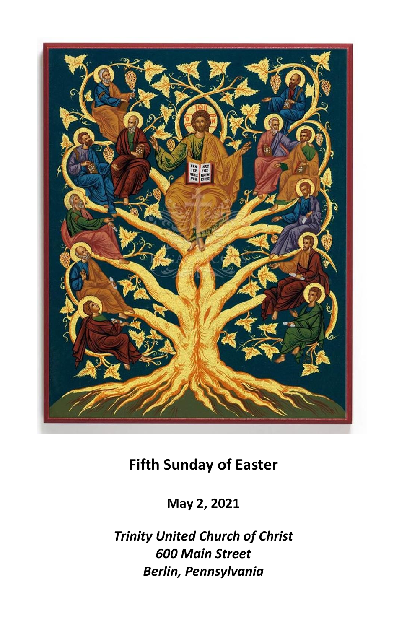

# **Fifth Sunday of Easter**

**May 2, 2021**

*Trinity United Church of Christ 600 Main Street Berlin, Pennsylvania*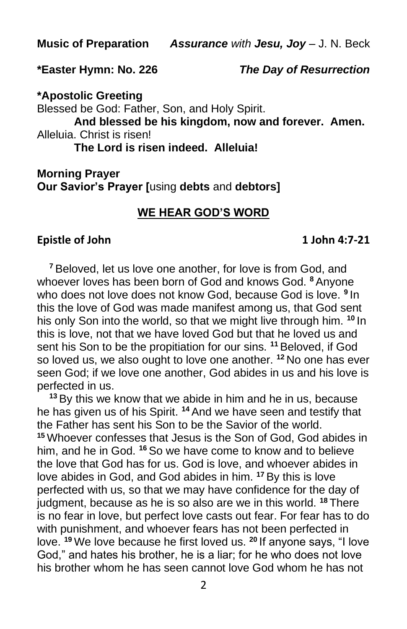#### **\*Easter Hymn: No. 226** *The Day of Resurrection*

**\*Apostolic Greeting**

Blessed be God: Father, Son, and Holy Spirit. **And blessed be his kingdom, now and forever. Amen.** Alleluia. Christ is risen! **The Lord is risen indeed. Alleluia!**

**Morning Prayer**

**Our Savior's Prayer [**using **debts** and **debtors]**

#### **WE HEAR GOD'S WORD**

#### **Epistle of John 1 John 4:7-21**

**<sup>7</sup>** Beloved, let us love one another, for love is from God, and whoever loves has been born of God and knows God. **<sup>8</sup>** Anyone who does not love does not know God, because God is love. **<sup>9</sup>** In this the love of God was made manifest among us, that God sent his only Son into the world, so that we might live through him. **<sup>10</sup>** In this is love, not that we have loved God but that he loved us and sent his Son to be the propitiation for our sins. **<sup>11</sup>** Beloved, if God so loved us, we also ought to love one another. **<sup>12</sup>** No one has ever seen God; if we love one another, God abides in us and his love is perfected in us.

**<sup>13</sup>** By this we know that we abide in him and he in us, because he has given us of his Spirit. **<sup>14</sup>** And we have seen and testify that the Father has sent his Son to be the Savior of the world. **<sup>15</sup>** Whoever confesses that Jesus is the Son of God, God abides in him, and he in God. **<sup>16</sup>** So we have come to know and to believe the love that God has for us. God is love, and whoever abides in love abides in God, and God abides in him. **<sup>17</sup>** By this is love perfected with us, so that we may have confidence for the day of judgment, because as he is so also are we in this world. **<sup>18</sup>** There is no fear in love, but perfect love casts out fear. For fear has to do with punishment, and whoever fears has not been perfected in love. **<sup>19</sup>** We love because he first loved us. **<sup>20</sup>** If anyone says, "I love God," and hates his brother, he is a liar; for he who does not love his brother whom he has seen cannot love God whom he has not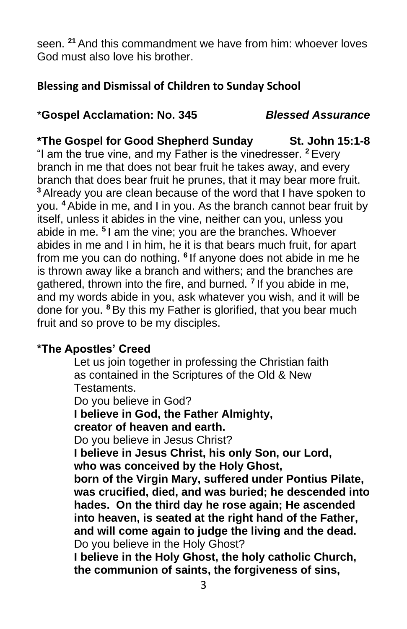seen. **<sup>21</sup>** And this commandment we have from him: whoever loves God must also love his brother.

#### **Blessing and Dismissal of Children to Sunday School**

#### \***Gospel Acclamation: No. 345** *Blessed Assurance*

### **\*The Gospel for Good Shepherd Sunday St. John 15:1-8**

"I am the true vine, and my Father is the vinedresser. **<sup>2</sup>** Every branch in me that does not bear fruit he takes away, and every branch that does bear fruit he prunes, that it may bear more fruit. **<sup>3</sup>** Already you are clean because of the word that I have spoken to you. **<sup>4</sup>** Abide in me, and I in you. As the branch cannot bear fruit by itself, unless it abides in the vine, neither can you, unless you abide in me. **<sup>5</sup>** I am the vine; you are the branches. Whoever abides in me and I in him, he it is that bears much fruit, for apart from me you can do nothing. **<sup>6</sup>** If anyone does not abide in me he is thrown away like a branch and withers; and the branches are gathered, thrown into the fire, and burned. **<sup>7</sup>** If you abide in me, and my words abide in you, ask whatever you wish, and it will be done for you. **<sup>8</sup>** By this my Father is glorified, that you bear much fruit and so prove to be my disciples.

#### **\*The Apostles' Creed**

Let us join together in professing the Christian faith as contained in the Scriptures of the Old & New Testaments.

Do you believe in God?

**I believe in God, the Father Almighty, creator of heaven and earth.**

Do you believe in Jesus Christ?

**I believe in Jesus Christ, his only Son, our Lord, who was conceived by the Holy Ghost,**

**born of the Virgin Mary, suffered under Pontius Pilate, was crucified, died, and was buried; he descended into hades. On the third day he rose again; He ascended into heaven, is seated at the right hand of the Father, and will come again to judge the living and the dead.** Do you believe in the Holy Ghost?

**I believe in the Holy Ghost, the holy catholic Church, the communion of saints, the forgiveness of sins,**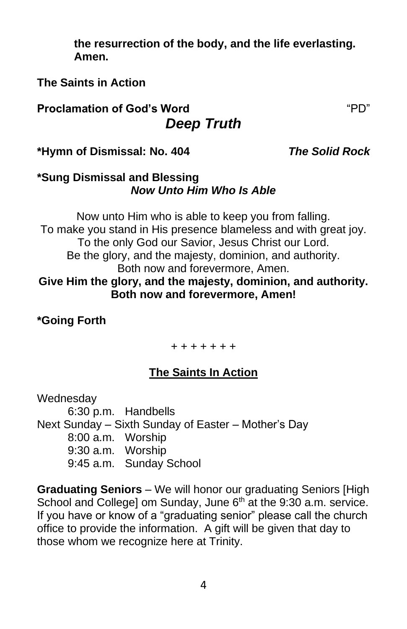**the resurrection of the body, and the life everlasting. Amen.**

**The Saints in Action**

**Proclamation of God's Word** "PD" *Deep Truth*

**\*Hymn of Dismissal: No. 404** *The Solid Rock*

#### **\*Sung Dismissal and Blessing** *Now Unto Him Who Is Able*

Now unto Him who is able to keep you from falling. To make you stand in His presence blameless and with great joy. To the only God our Savior, Jesus Christ our Lord. Be the glory, and the majesty, dominion, and authority. Both now and forevermore, Amen. **Give Him the glory, and the majesty, dominion, and authority. Both now and forevermore, Amen!**

**\*Going Forth**

+ + + + + + +

#### **The Saints In Action**

Wednesday 6:30 p.m. Handbells Next Sunday – Sixth Sunday of Easter – Mother's Day 8:00 a.m. Worship 9:30 a.m. Worship 9:45 a.m. Sunday School

**Graduating Seniors** – We will honor our graduating Seniors [High School and College] om Sunday, June 6<sup>th</sup> at the 9:30 a.m. service. If you have or know of a "graduating senior" please call the church office to provide the information. A gift will be given that day to those whom we recognize here at Trinity.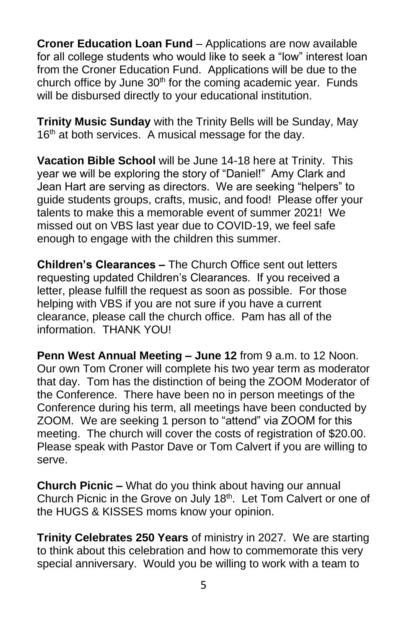**Croner Education Loan Fund** – Applications are now available for all college students who would like to seek a "low" interest loan from the Croner Education Fund. Applications will be due to the church office by June  $30<sup>th</sup>$  for the coming academic year. Funds will be disbursed directly to your educational institution.

**Trinity Music Sunday** with the Trinity Bells will be Sunday, May 16<sup>th</sup> at both services. A musical message for the day.

**Vacation Bible School** will be June 14-18 here at Trinity. This year we will be exploring the story of "Daniel!" Amy Clark and Jean Hart are serving as directors. We are seeking "helpers" to guide students groups, crafts, music, and food! Please offer your talents to make this a memorable event of summer 2021! We missed out on VBS last year due to COVID-19, we feel safe enough to engage with the children this summer.

**Children's Clearances –** The Church Office sent out letters requesting updated Children's Clearances. If you received a letter, please fulfill the request as soon as possible. For those helping with VBS if you are not sure if you have a current clearance, please call the church office. Pam has all of the information. THANK YOU!

**Penn West Annual Meeting – June 12** from 9 a.m. to 12 Noon. Our own Tom Croner will complete his two year term as moderator that day. Tom has the distinction of being the ZOOM Moderator of the Conference. There have been no in person meetings of the Conference during his term, all meetings have been conducted by ZOOM. We are seeking 1 person to "attend" via ZOOM for this meeting. The church will cover the costs of registration of \$20.00. Please speak with Pastor Dave or Tom Calvert if you are willing to serve.

**Church Picnic –** What do you think about having our annual Church Picnic in the Grove on July 18<sup>th</sup>. Let Tom Calvert or one of the HUGS & KISSES moms know your opinion.

**Trinity Celebrates 250 Years** of ministry in 2027. We are starting to think about this celebration and how to commemorate this very special anniversary. Would you be willing to work with a team to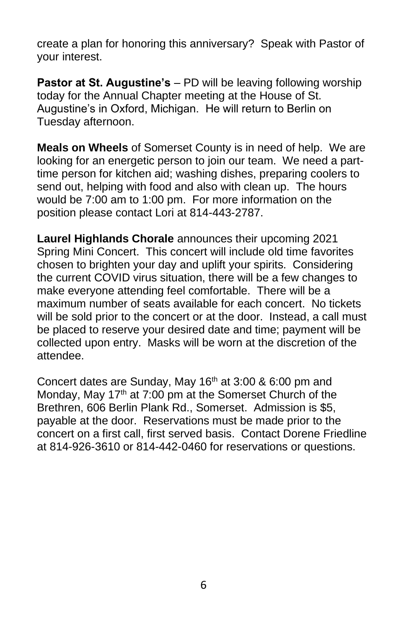create a plan for honoring this anniversary? Speak with Pastor of your interest.

**Pastor at St. Augustine's** – PD will be leaving following worship today for the Annual Chapter meeting at the House of St. Augustine's in Oxford, Michigan. He will return to Berlin on Tuesday afternoon.

**Meals on Wheels** of Somerset County is in need of help. We are looking for an energetic person to join our team. We need a parttime person for kitchen aid; washing dishes, preparing coolers to send out, helping with food and also with clean up. The hours would be 7:00 am to 1:00 pm. For more information on the position please contact Lori at 814-443-2787.

**Laurel Highlands Chorale** announces their upcoming 2021 Spring Mini Concert. This concert will include old time favorites chosen to brighten your day and uplift your spirits. Considering the current COVID virus situation, there will be a few changes to make everyone attending feel comfortable. There will be a maximum number of seats available for each concert. No tickets will be sold prior to the concert or at the door. Instead, a call must be placed to reserve your desired date and time; payment will be collected upon entry. Masks will be worn at the discretion of the attendee.

Concert dates are Sunday, May  $16<sup>th</sup>$  at 3:00 & 6:00 pm and Monday, May 17<sup>th</sup> at 7:00 pm at the Somerset Church of the Brethren, 606 Berlin Plank Rd., Somerset. Admission is \$5, payable at the door. Reservations must be made prior to the concert on a first call, first served basis. Contact Dorene Friedline at 814-926-3610 or 814-442-0460 for reservations or questions.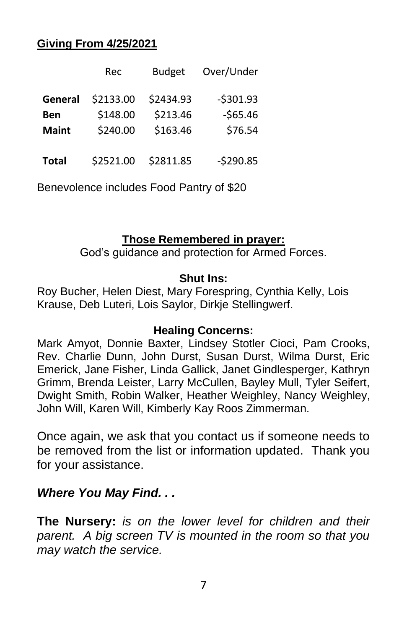#### **Giving From 4/25/2021**

|              | Rec       | <b>Budget</b> | Over/Under |
|--------------|-----------|---------------|------------|
| General      | \$2133.00 | \$2434.93     | $-5301.93$ |
| Ben          | \$148.00  | \$213.46      | $-565.46$  |
| <b>Maint</b> | \$240.00  | \$163.46      | \$76.54    |
| <b>Total</b> | \$2521.00 | \$2811.85     | $-5290.85$ |

Benevolence includes Food Pantry of \$20

#### **Those Remembered in prayer:**

God's guidance and protection for Armed Forces.

#### **Shut Ins:**

Roy Bucher, Helen Diest, Mary Forespring, Cynthia Kelly, Lois Krause, Deb Luteri, Lois Saylor, Dirkje Stellingwerf.

#### **Healing Concerns:**

Mark Amyot, Donnie Baxter, Lindsey Stotler Cioci, Pam Crooks, Rev. Charlie Dunn, John Durst, Susan Durst, Wilma Durst, Eric Emerick, Jane Fisher, Linda Gallick, Janet Gindlesperger, Kathryn Grimm, Brenda Leister, Larry McCullen, Bayley Mull, Tyler Seifert, Dwight Smith, Robin Walker, Heather Weighley, Nancy Weighley, John Will, Karen Will, Kimberly Kay Roos Zimmerman.

Once again, we ask that you contact us if someone needs to be removed from the list or information updated. Thank you for your assistance.

#### *Where You May Find. . .*

**The Nursery:** *is on the lower level for children and their parent. A big screen TV is mounted in the room so that you may watch the service.*